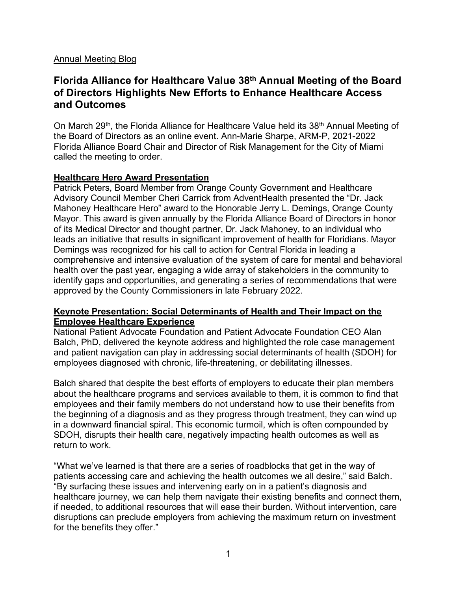### Annual Meeting Blog

# **Florida Alliance for Healthcare Value 38th Annual Meeting of the Board of Directors Highlights New Efforts to Enhance Healthcare Access and Outcomes**

On March 29<sup>th</sup>, the Florida Alliance for Healthcare Value held its 38<sup>th</sup> Annual Meeting of the Board of Directors as an online event. Ann-Marie Sharpe, ARM-P, 2021-2022 Florida Alliance Board Chair and Director of Risk Management for the City of Miami called the meeting to order.

## **Healthcare Hero Award Presentation**

Patrick Peters, Board Member from Orange County Government and Healthcare Advisory Council Member Cheri Carrick from AdventHealth presented the "Dr. Jack Mahoney Healthcare Hero" award to the Honorable Jerry L. Demings, Orange County Mayor. This award is given annually by the Florida Alliance Board of Directors in honor of its Medical Director and thought partner, Dr. Jack Mahoney, to an individual who leads an initiative that results in significant improvement of health for Floridians. Mayor Demings was recognized for his call to action for Central Florida in leading a comprehensive and intensive evaluation of the system of care for mental and behavioral health over the past year, engaging a wide array of stakeholders in the community to identify gaps and opportunities, and generating a series of recommendations that were approved by the County Commissioners in late February 2022.

### **Keynote Presentation: Social Determinants of Health and Their Impact on the Employee Healthcare Experience**

National Patient Advocate Foundation and Patient Advocate Foundation CEO Alan Balch, PhD, delivered the keynote address and highlighted the role case management and patient navigation can play in addressing social determinants of health (SDOH) for employees diagnosed with chronic, life-threatening, or debilitating illnesses.

Balch shared that despite the best efforts of employers to educate their plan members about the healthcare programs and services available to them, it is common to find that employees and their family members do not understand how to use their benefits from the beginning of a diagnosis and as they progress through treatment, they can wind up in a downward financial spiral. This economic turmoil, which is often compounded by SDOH, disrupts their health care, negatively impacting health outcomes as well as return to work.

"What we've learned is that there are a series of roadblocks that get in the way of patients accessing care and achieving the health outcomes we all desire," said Balch. "By surfacing these issues and intervening early on in a patient's diagnosis and healthcare journey, we can help them navigate their existing benefits and connect them, if needed, to additional resources that will ease their burden. Without intervention, care disruptions can preclude employers from achieving the maximum return on investment for the benefits they offer."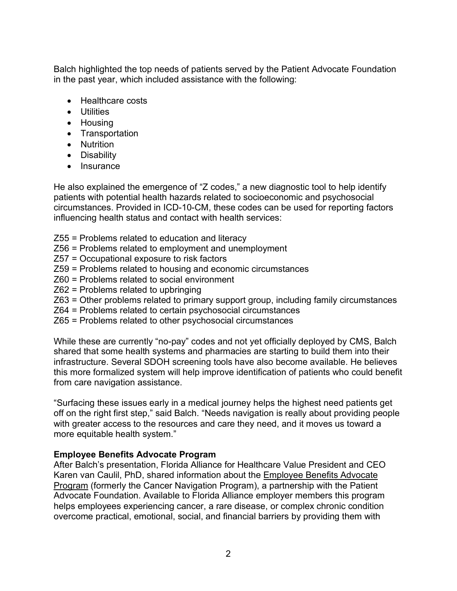Balch highlighted the top needs of patients served by the Patient Advocate Foundation in the past year, which included assistance with the following:

- Healthcare costs
- Utilities
- Housing
- Transportation
- Nutrition
- Disability
- Insurance

He also explained the emergence of "Z codes," a new diagnostic tool to help identify patients with potential health hazards related to socioeconomic and psychosocial circumstances. Provided in ICD-10-CM, these codes can be used for reporting factors influencing health status and contact with health services:

- Z55 = Problems related to education and literacy
- Z56 = Problems related to employment and unemployment
- Z57 = Occupational exposure to risk factors
- Z59 = Problems related to housing and economic circumstances
- Z60 = Problems related to social environment
- Z62 = Problems related to upbringing
- Z63 = Other problems related to primary support group, including family circumstances
- Z64 = Problems related to certain psychosocial circumstances
- Z65 = Problems related to other psychosocial circumstances

While these are currently "no-pay" codes and not yet officially deployed by CMS, Balch shared that some health systems and pharmacies are starting to build them into their infrastructure. Several SDOH screening tools have also become available. He believes this more formalized system will help improve identification of patients who could benefit from care navigation assistance.

"Surfacing these issues early in a medical journey helps the highest need patients get off on the right first step," said Balch. "Needs navigation is really about providing people with greater access to the resources and care they need, and it moves us toward a more equitable health system."

### **Employee Benefits Advocate Program**

After Balch's presentation, Florida Alliance for Healthcare Value President and CEO Karen van Caulil, PhD, shared information about the [Employee](https://flhealthvalue.org/our-work/breaking-down-barriers-to-care-employee-benefits-advocate-program/) Benefits Advocate [Program](https://flhealthvalue.org/our-work/breaking-down-barriers-to-care-employee-benefits-advocate-program/) (formerly the Cancer Navigation Program), a partnership with the Patient Advocate Foundation. Available to Florida Alliance employer members this program helps employees experiencing cancer, a rare disease, or complex chronic condition overcome practical, emotional, social, and financial barriers by providing them with